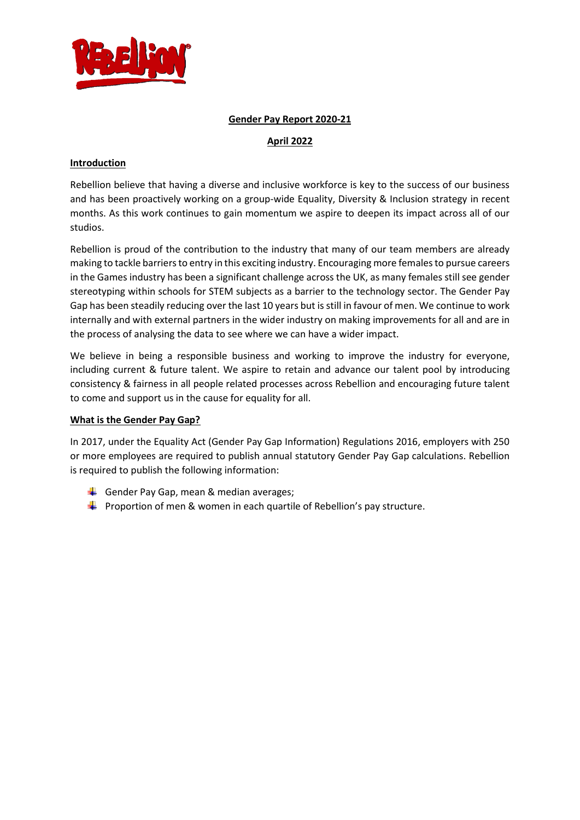

#### **Gender Pay Report 2020-21**

# **April 2022**

### **Introduction**

Rebellion believe that having a diverse and inclusive workforce is key to the success of our business and has been proactively working on a group-wide Equality, Diversity & Inclusion strategy in recent months. As this work continues to gain momentum we aspire to deepen its impact across all of our studios.

Rebellion is proud of the contribution to the industry that many of our team members are already making to tackle barriers to entry in this exciting industry. Encouraging more females to pursue careers in the Games industry has been a significant challenge across the UK, as many females still see gender stereotyping within schools for STEM subjects as a barrier to the technology sector. The Gender Pay Gap has been steadily reducing over the last 10 years but is still in favour of men. We continue to work internally and with external partners in the wider industry on making improvements for all and are in the process of analysing the data to see where we can have a wider impact.

We believe in being a responsible business and working to improve the industry for everyone, including current & future talent. We aspire to retain and advance our talent pool by introducing consistency & fairness in all people related processes across Rebellion and encouraging future talent to come and support us in the cause for equality for all.

#### **What is the Gender Pay Gap?**

In 2017, under the Equality Act (Gender Pay Gap Information) Regulations 2016, employers with 250 or more employees are required to publish annual statutory Gender Pay Gap calculations. Rebellion is required to publish the following information:

- Gender Pay Gap, mean & median averages;
- $\ddot{\bullet}$  Proportion of men & women in each quartile of Rebellion's pay structure.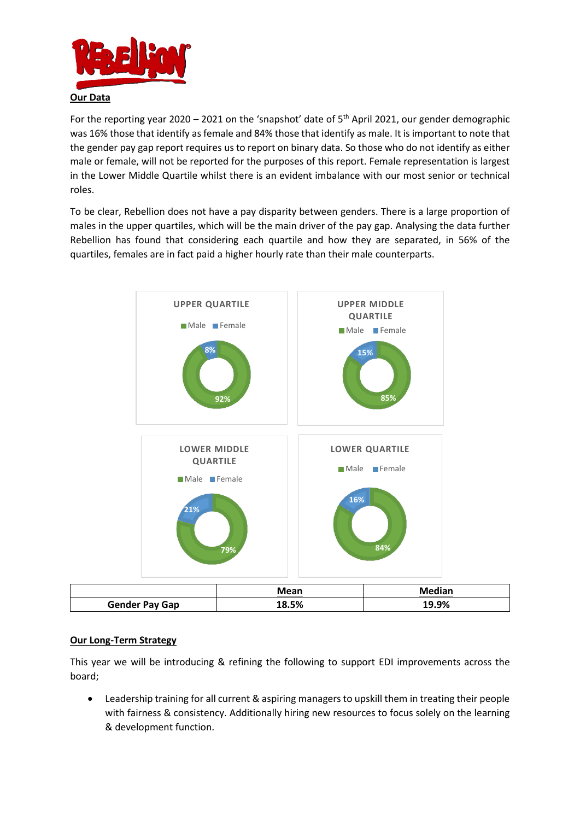

For the reporting year 2020 – 2021 on the 'snapshot' date of  $5<sup>th</sup>$  April 2021, our gender demographic was 16% those that identify as female and 84% those that identify as male. It is important to note that the gender pay gap report requires us to report on binary data. So those who do not identify as either male or female, will not be reported for the purposes of this report. Female representation is largest in the Lower Middle Quartile whilst there is an evident imbalance with our most senior or technical roles.

To be clear, Rebellion does not have a pay disparity between genders. There is a large proportion of males in the upper quartiles, which will be the main driver of the pay gap. Analysing the data further Rebellion has found that considering each quartile and how they are separated, in 56% of the quartiles, females are in fact paid a higher hourly rate than their male counterparts.



|                       | Mean  | Median |
|-----------------------|-------|--------|
| <b>Gender Pay Gap</b> | 18.5% | 19.9%  |

## **Our Long-Term Strategy**

This year we will be introducing & refining the following to support EDI improvements across the board;

• Leadership training for all current & aspiring managers to upskill them in treating their people with fairness & consistency. Additionally hiring new resources to focus solely on the learning & development function.